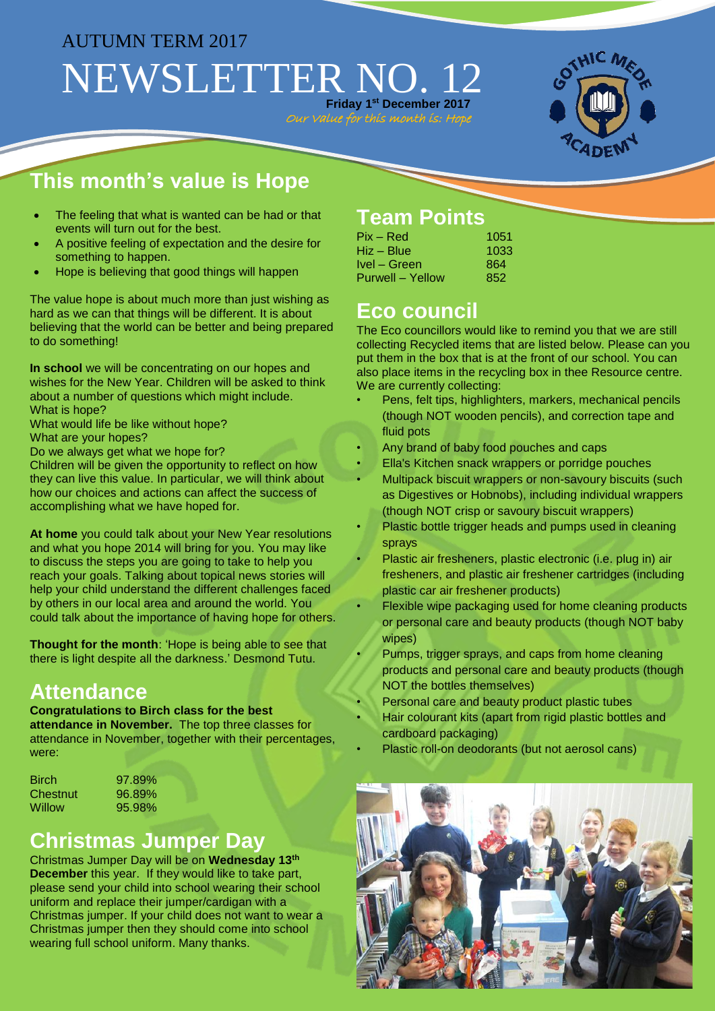## AUTUMN TERM 2017 NEWSLETTER NO. 12 **Friday 1 st December 2017**

Our Value for this month is: Hope



# **This month's value is Hope**

- The feeling that what is wanted can be had or that events will turn out for the best.
- A positive feeling of expectation and the desire for something to happen.
- Hope is believing that good things will happen

The value hope is about much more than just wishing as hard as we can that things will be different. It is about believing that the world can be better and being prepared to do something!

**In school** we will be concentrating on our hopes and wishes for the New Year. Children will be asked to think about a number of questions which might include. What is hope?

What would life be like without hope? What are your hopes?

Do we always get what we hope for?

Children will be given the opportunity to reflect on how they can live this value. In particular, we will think about how our choices and actions can affect the success of accomplishing what we have hoped for.

**At home** you could talk about your New Year resolutions and what you hope 2014 will bring for you. You may like to discuss the steps you are going to take to help you reach your goals. Talking about topical news stories will help your child understand the different challenges faced by others in our local area and around the world. You could talk about the importance of having hope for others.

**Thought for the month**: 'Hope is being able to see that there is light despite all the darkness.' Desmond Tutu.

#### **Attendance**

#### **Congratulations to Birch class for the best**

**attendance in November.** The top three classes for attendance in November, together with their percentages, were:

| Birch    | 97 |
|----------|----|
| Chestnut | 96 |
| Willow   | 95 |

 $.89%$  $.89%$  $.98%$ 

#### **Christmas Jumper Day**

Christmas Jumper Day will be on **Wednesday 13th December** this year. If they would like to take part, please send your child into school wearing their school uniform and replace their jumper/cardigan with a Christmas jumper. If your child does not want to wear a Christmas jumper then they should come into school wearing full school uniform. Many thanks.

#### **Team Points**

| $Pix - Red$      | 1051 |
|------------------|------|
| Hiz – Blue       | 1033 |
| Ivel – Green     | 864  |
| Purwell – Yellow | 852  |

### **Eco council**

The Eco councillors would like to remind you that we are still collecting Recycled items that are listed below. Please can you put them in the box that is at the front of our school. You can also place items in the recycling box in thee Resource centre. We are currently collecting:

- Pens, felt tips, highlighters, markers, mechanical pencils (though NOT wooden pencils), and correction tape and fluid pots
- Any brand of baby food pouches and caps
- Ella's Kitchen snack wrappers or porridge pouches
- Multipack biscuit wrappers or non-savoury biscuits (such as Digestives or Hobnobs), including individual wrappers (though NOT crisp or savoury biscuit wrappers)
- Plastic bottle trigger heads and pumps used in cleaning sprays
- Plastic air fresheners, plastic electronic (i.e. plug in) air fresheners, and plastic air freshener cartridges (including plastic car air freshener products)
- Flexible wipe packaging used for home cleaning products or personal care and beauty products (though NOT baby wipes)
- Pumps, trigger sprays, and caps from home cleaning products and personal care and beauty products (though NOT the bottles themselves)
- Personal care and beauty product plastic tubes
- Hair colourant kits (apart from rigid plastic bottles and cardboard packaging)